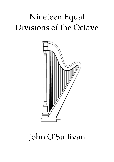# Nineteen Equal Divisions of the Octave



## John O'Sullivan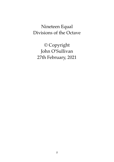### Nineteen Equal Divisions of the Octave

© Copyright John O'Sullivan 27th February, 2021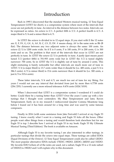#### Introduction

Back in 1995 I discovered that the standard Western musical tuning, 12 Tone Equal Temperament (12TET for short), is a compromise system where most of the intervals that occur are not perfectly in tune. An interval is the distance between two notes. Intervals can be expressed as ratios. An octave is 2/1. A perfect fifth is 3/2. A perfect fourth is 4/3. A major third is 5/4 and a minor third is 6/5.

In 12TET the octave is divided in to 12 equal steps. If you start with E the 12 notes are: E, F, F#, G, G#, A, A#, B, C, C#, D, D#.  $\#$  means sharp, A $\#$  is the same note as Bb (B flat). The distance between any two adjacent notes is always the same: 100 cents. An octave  $(2/1)$  is 1200 cents wide. So if E is 0 cents, F is 100 cents, F# is 200 cents, G is 300 cents and so on. The problem is that most of the intervals that occur in 12TET are not perfectly in tune. In 12TET the octave  $(2/1)$  is perfectly in tune. A justly (just means pure) tuned 3/2 (perfect fifth) is 701.955 cents wide but in 12TET the 3/2 is tuned slightly narrower: 700 cents. So in 12TET the 3/2 is slightly out of tune by around 2 cents. This slight mistuning is barely noticeable but other intervals are much more out of tune in 12TET. 5/4 (a major third) is 13.7 cents wider than it should be (i.e. 400 cents, a just 5/4 is 386.3 cents). 6/5 (a minor third) is 15.6 cents narrower than it should be (i.e. 300 cents, a just 6/5 is 315.6 cents).

These latter intervals, 5/4 and 6/5, are much too out of tune for my liking. For years I would not use any interval that deviated from just by more then 6.7758 cents (256/255). I currently use a more relaxed tolerance: 8.474 cents (1024/1019).

When I discovered that 12TET is a compromise system I wondered if I could do better. Could there be a tuning better than 12TET? Over the years I came up with a few tunings that I thought were contenders: My Blue Temperament and later, Raven Temperament. Early on in my research I rediscovered Quarter Comma Meantone long before I found out it has been around for a long time and was used by some famous composers.

Finally in 2016 (with some assistance from Jake Freivald) I arrived at my Eagle 53 tuning. I know exactly what I want in a tuning and Eagle 53 ticks all the boxes. Other people want other things from a tuning and would therefore look elsewhere but for me Eagle 53 is top. I describe how I arrived at Eagle 53 in my book: Eagle 53 My Ultimate Musical Tuning (Third Edition). The book is available on Amazon.

Although Eagle 53 is my favorite tuning I am also interested in other tunings, in particular tunings that divide the octave into equal steps. These tunings are called EDOs (Equal Divisions of the Octave). 12 Tone Equal Temperament could also be called 12EDO. The most popular alternative EDOs include 17EDO, 19EDO, 22EDO, 24EDO and 31EDO. My favorite EDO (where *all* of the notes are used, not a subset, Eagle 53 is a 12 note subset of 53EDO) is 19EDO and I will explain why in this document.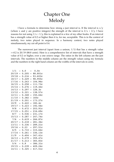### Chapter One Melody

I have a formula to determine how strong a just interval is. If the interval is  $x/y$ (where x and y are positive integers) the strength of the interval is  $2/x + 2/y$ . I have reasons for not using  $1/x + 1/y$ , this is explained in a few of my other books. If an interval has a strength value of 0.2 or higher then it is, for me, acceptable. This is in the context of melody, two notes played in sequence. In a harmony context, two notes played simultaneously, my cut off point is 0.4.

The narrowest just interval (apart from a unison,  $1/1$ ) that has a strength value >=0.2 is 20/19 (88.8 cents). Here is a comprehensive list of intervals that have a strength value of 0.2 or higher, over a one octave range. The ratios in the left column are the just intervals. The numbers in the middle column are the strength values using my formula and the numbers in the right hand column are the widths of the intervals in cents.

| 1/1   | -                        | 4.0   | —                        | 0.0c    |
|-------|--------------------------|-------|--------------------------|---------|
| 20/19 | $\overline{\phantom{0}}$ | 0.205 | $\overline{\phantom{0}}$ | 88.801c |
| 19/18 | $\overline{\phantom{0}}$ | 0.216 | $\overline{\phantom{0}}$ | 93.603c |
| 18/17 | $\overline{a}$           | 0.229 | $\overline{a}$           | 98.955c |
| 17/16 | $\overline{a}$           | 0.243 | $\overline{\phantom{0}}$ | 104.96c |
| 16/15 | $\overline{\phantom{0}}$ | 0.258 | $\overline{\phantom{0}}$ | 111.73c |
| 15/14 | $\overline{\phantom{0}}$ | 0.276 | —                        | 119.44c |
| 14/13 | $\overline{a}$           | 0.297 | $\overline{\phantom{0}}$ | 128.3c  |
| 13/12 | $\overline{\phantom{0}}$ | 0.321 | $\overline{\phantom{0}}$ | 138.57c |
| 12/11 | —                        | 0.348 | —                        | 150.64c |
| 11/10 | $\overline{\phantom{0}}$ | 0.382 | —                        | 165c    |
| 21/19 | $\overline{\phantom{0}}$ | 0.201 | $\overline{\phantom{0}}$ | 173.27c |
| 10/9  | $\overline{\phantom{0}}$ | 0.422 | —                        | 182.4c  |
| 19/17 | $\overline{a}$           | 0.223 | $\overline{\phantom{0}}$ | 192.56c |
| 9/8   | -                        | 0.472 | —                        | 203.91c |
| 17/15 | $\overline{\phantom{0}}$ | 0.251 | —                        | 216.69c |
| 8/7   | —                        | 0.536 | —                        | 231.17c |
| 15/13 | $\overline{a}$           | 0.287 | $\overline{a}$           | 247.74c |
| 7/6   | -                        | 0.619 | —                        | 266.87c |
| 20/17 | $\overline{\phantom{0}}$ | 0.218 | $\overline{\phantom{0}}$ | 281.36c |
| 13/11 | $\overline{\phantom{0}}$ | 0.336 | $\overline{\phantom{0}}$ | 289.21c |
| 19/16 | $\overline{a}$           | 0.23  | -                        | 297.51c |
| 6/5   | —                        | 0.733 | —                        | 315.64c |
| 17/14 | $\overline{\phantom{0}}$ | 0.261 | $\overline{\phantom{0}}$ | 336.13c |
| 11/9  | —                        | 0.404 | —                        | 347.41c |
| 16/13 | $\overline{\phantom{0}}$ | 0.279 | $\overline{\phantom{0}}$ | 359.47c |
| 21/17 | -                        | 0.213 | —                        | 365.83c |
| 5/4   | —                        | 0.9   | -                        | 386.31c |
| 19/15 | $\overline{a}$           | 0.239 | $\overline{\phantom{0}}$ | 409.24c |
| 14/11 | $\overline{a}$           | 0.325 | $\overline{a}$           | 417.51c |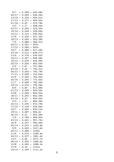| 9/7   |                          | 0.508 | $\overline{\phantom{0}}$ | 435.08c |
|-------|--------------------------|-------|--------------------------|---------|
| 22/17 | $\overline{\phantom{0}}$ | 0.209 | $\overline{\phantom{0}}$ | 446.36c |
| 13/10 | $\overline{\phantom{0}}$ | 0.354 | $\overline{\phantom{0}}$ | 454.21c |
| 17/13 | $\overline{a}$           | 0.271 | $\overline{\phantom{0}}$ | 464.43c |
| 21/16 | $\overline{\phantom{0}}$ | 0.22  | —                        | 470.78c |
| 4/3   | —                        | 1.17  | $\overline{\phantom{0}}$ | 498.04c |
| 23/17 | $\overline{a}$           | 0.205 | $\overline{a}$           | 523.32c |
| 19/14 | $\overline{\phantom{0}}$ | 0.248 | $\overline{\phantom{0}}$ | 528.69c |
| 15/11 | $\overline{\phantom{0}}$ | 0.315 | $\overline{\phantom{0}}$ | 536.95c |
| 11/8  | $\overline{a}$           | 0.432 | $\overline{\phantom{0}}$ | 551.32c |
| 18/13 | $\overline{\phantom{0}}$ | 0.265 | $\overline{\phantom{0}}$ | 563.38c |
| 7/5   | -                        | 0.686 | $\overline{\phantom{0}}$ | 582.51c |
| 24/17 | $\overline{a}$           | 0.201 | $\overline{\phantom{0}}$ | 597c    |
| 17/12 | -                        | 0.284 | $\overline{\phantom{0}}$ | 603c    |
| 10/7  | -                        | 0.486 | $\overline{\phantom{0}}$ | 617.49c |
| 23/16 | $\overline{a}$           | 0.212 | $\overline{\phantom{0}}$ | 628.27c |
| 13/9  | -                        | 0.376 | $\overline{\phantom{0}}$ | 636.62c |
| 16/11 | $\overline{\phantom{0}}$ | 0.307 | $\overline{\phantom{0}}$ | 648.68c |
| 19/13 | $\overline{a}$           | 0.259 | $\overline{\phantom{0}}$ | 656.99c |
| 22/15 | $\overline{a}$           | 0.224 | $\overline{\phantom{0}}$ | 663.05c |
| 3/2   | -                        | 1.67  | —                        | 701.96c |
| 23/15 | $\overline{a}$           | 0.22  | $\overline{a}$           | 740.01c |
| 20/13 | -                        | 0.254 | $\overline{\phantom{0}}$ | 745.79c |
| 17/11 | $\overline{\phantom{0}}$ | 0.299 | $\overline{\phantom{0}}$ | 753.64c |
| 14/9  | $\overline{a}$           | 0.365 | $\overline{a}$           | 764.92c |
| 25/16 | $\overline{\phantom{0}}$ | 0.205 | $\overline{\phantom{0}}$ | 772.63c |
| 11/7  | $\overline{\phantom{0}}$ | 0.468 | -                        | 782.49c |
| 19/12 | $\overline{a}$           | 0.272 | $\overline{\phantom{0}}$ | 795.56c |
| 8/5   | -                        | 0.65  | -                        | 813.69c |
| 21/13 | $\overline{\phantom{0}}$ | 0.249 | $\overline{\phantom{0}}$ | 830.25c |
| 13/8  |                          | 0.404 | $\overline{\phantom{0}}$ | 840.53c |
| 18/11 | $\overline{a}$           | 0.293 | $\overline{\phantom{0}}$ | 852.59c |
| 23/14 | $\overline{a}$           | 0.23  | -                        | 859.45c |
| 5/3   |                          | 1.07  | $\overline{\phantom{0}}$ | 884.36c |
| 22/13 | -                        | 0.245 | —                        | 910.79c |
| 17/10 | -                        | 0.318 | $\overline{\phantom{0}}$ | 918.64c |
| 12/7  |                          | 0.452 | —                        | 933.13c |
| 19/11 | -                        | 0.287 | -                        | 946.2c  |
| 26/15 | $\overline{\phantom{0}}$ | 0.21  | -                        | 952.26c |
| 7/4   |                          | 0.786 | $\overline{\phantom{0}}$ | 968.83c |
| 23/13 | -                        | 0.241 | $\overline{\phantom{0}}$ | 987.75c |
| 16/9  |                          | 0.347 | $\overline{\phantom{0}}$ | 996.09c |
| 25/14 | $\overline{a}$           | 0.223 | $\overline{\phantom{0}}$ | 1003.8c |
| 9/5   | -                        | 0.622 | —                        | 1017.6c |
| 20/11 | -                        | 0.282 | —                        | 1035c   |
| 11/6  |                          | 0.515 | $\overline{\phantom{0}}$ | 1049.4c |
| 24/13 | -                        | 0.237 | $\overline{\phantom{0}}$ | 1061.4c |
| 13/7  |                          | 0.44  |                          | 1071.7c |
| 28/15 | $\overline{a}$           | 0.205 | $\overline{\phantom{0}}$ | 1080.6c |
| 15/8  | —                        | 0.383 | $\overline{\phantom{0}}$ | 1088.3c |
| 17/9  |                          | 0.34  |                          | 1101c   |
| 19/10 | $\overline{a}$           | 0.305 | $\overline{a}$           | 1111.2c |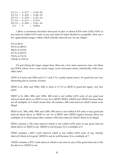$21/11 - 0.277 - 1119.5c$  $23/12 - 0.254 - 1126.3c$  $25/13 - 0.234 - 1132.1c$  $27/14 - 0.217 - 1137c$  $29/15 - 0.202 - 1141.3c$  $2/1 - 3 - 1200c$ 

 I allow a maximum deviation from just of plus or minus 8.474 cents (1024/1019) so any interval within 8.474 cents of any just interval listed should be acceptable. Here are a few approximate ranges within which melodic intervals are, for me, illegal...

8.5c to 80.3c 479.3c to 489.5c 506.5c to 514.8c 671.5c to 693.5c 710.5c to 731.5c 1149.8c to 1191.5c

 I'm just listing the larger ranges here, there are a few more narrower ones. Are there any EDOs where, over a one octave range, every note pairs nicely, melodically, with every other note?

1EDO is 0 cents and 1200 cents  $(1/1$  and  $2/1)$ , a justly tuned octave. It's good but not very interesting due to scarcity of notes.

2EDO is 0c, 600c and 1200c. 600c is close to 17/12 so 2EDO is good but again, very few notes.

3EDO is 0c, 400c, 800c and 1200c. 400 cents is not within 8.474 cents of any good just interval listed above so 3EDO is out. So is 6EDO, 9EDO, 12EDO and 15EDO because these are all multiples of 3 which means they all contain a 400 cents interval which I deem to be illegal.

4EDO is 0c, 300c, 600c, 900c and 1200c. 900 cents is not within 8.474 cents of any good just interval listed above so 4EDO is out. So is 8EDO and 12EDO (again) because these are multiples of 4 which means they contain a 900 cents interval which I deem to be illegal.

5EDO contains a 720 cents interval which is not within 8.474 cents of any good interval listed above so 5EDO is out. 10EDO is out because 10 is a multiple of 5.

7EDO contains a 685.7 cents interval which is not within 8.474 cents of any melody interval I deem to be good. 14EDO is out as well because 14 is a multiple of 7.

11EDO contains a 872.7 cents interval which is not close to any of the good intervals in the list above so 11EDO is out.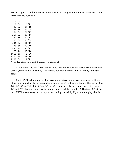13EDO is good! All the intervals over a one octave range are within 8.474 cents of a good interval in the list above.

| 13EDO   |                                      |  |
|---------|--------------------------------------|--|
| 0.0c    | 1/1                                  |  |
| 92.3c   | 19/18                                |  |
| 184.6c  | $10/9*$                              |  |
| 276.9c  | 20/17                                |  |
| 369.2c  | 21/17                                |  |
| 461.5c  | 17/13                                |  |
| 553.8c  | $11/8*$                              |  |
| 646.2c  | 16/11                                |  |
| 738.5c  | 23/15                                |  |
| 830.8c  | 21/13                                |  |
| 923.1c  | 17/10                                |  |
| 1015.4c | $9/5*$                               |  |
| 1107.7c | 19/10                                |  |
| 1200.0c | 2/1                                  |  |
|         | * indicates a good harmony interval. |  |
|         |                                      |  |

 EDOs from 15 to 141 (15EDO to 141EDO) are out because the narrowest interval that occurs (apart from a unison, 1/1) in these is between 8.5 cents and 80.3 cents, an illegal range.

 So 13EDO has the property that, over a one octave range, every note pairs with every other note (in melody) in an acceptable manner. But it's not a great tuning. There is no 3/2, 4/3, 5/3, 5/4, 6/5, 7/4, 7/5, 7/6, 8/5 or 8/7. There are only three intervals (not counting 1/1 and 2/1) that are useful in a harmony context and these are 10/9, 11/8 and 9/5. So for me 13EDO is a curiosity but not a practical tuning, especially if you want to play chords.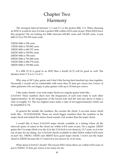### Chapter Two Harmony

 The strongest interval between 1/1 and 2/1 is the perfect fifth: 3/2. When choosing an EDO it would be nice if it had a perfect fifth within 8.474 cents of just. What EDOs have this property? We are looking for fifths between 693.481 cents and 710.429 cents. A just fifth (3/2) is 701.955 cents wide.

12EDO fifth is 700 cents 17EDO fifth is 705.882 cents 19EDO fifth is 694.737 cents 22EDO fifth is 709.091 cents 24EDO fifth is 700 cents 29EDO fifth is 703.448 cents 31EDO fifth is 696.774 cents 34EDO fifth is 705.882 cents

If a fifth  $(3/2)$  is good in an EDO then a fourth  $(4/3)$  will be good as well. The distance from  $3/2$  to  $2/1$  is  $4/3$ .

Why stop at 34? I play guitar and I don't like having frets bunched up close together. Personally I would not be comfortable with more than 22 frets per octave but I know of other guitarists who are happy to play guitars with up to 34 frets per octave.

 I like major chords. A six-note major chord on a regular guitar looks like... 2:3:4:5:6:8. These numbers show how the frequencies of each note relate to each other (approximately). So the frequencies of the lowest note and the note just above it make a ratio of roughly 2:3. The two highest notes make a ratio of 6:8 (approximately) which can be simplified to 3:4.

 In general the smaller the numbers, the sweeter the chord. A six-note minor chord looks like... 10:15:20:24:30:40. These are much bigger numbers than the numbers in the major chord and indeed the minor chord sounds a lot weaker than the major chord.

 I would like to have 2:3:4:5:6:8 major chords available in a tuning where all the intervals (pairs of notes) in the chord are within 8.474 cents of just. On a regular 12EDO guitar the 5 (a major third over the 4) in the 2:3:4:5:6:8 is too sharp by 13.7 cents, so it is too out of tune for my liking. Are 2:3:4:5:6:8 chords available in other EDOs within 8.474 cents of just? Yes, 19EDO, 31EDO and 34EDO have good major chords. I won't use the major chord in 22EDO because the 5/3 interval is too narrow by 11.63 cents.

 What about 2:3:4:5:6:7 chords? The lowest EDO where these are within 8.474 cents of just is 31EDO. 31 frets per octave is too many for me.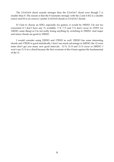The 2:3:4:5:6:8 chord sounds stronger than the 2:3:4:5:6:7 chord even though 7 is smaller than 8. The reason is that the 8 resonates strongly with the 2 and 4 (8:2 is a double octave and 8:4 is an octave). I prefer 2:3:4:5:6:8 chords to 2:3:4:5:6:7 chords.

 If I had to choose an EDO, especially for guitars, it would be 19EDO. I'm not too concerned if I don't have any 7s available. 7/4, 7/5 and 7/6 don't occur in 12TET (or 12EDO, same thing) so I'm not really losing anything by switching to 19EDO. And major and minor chords are good in 19EDO.

 I would consider using 22EDO and 17EDO as well. 22EDO has some interesting chords and 17EDO is good melodically. I don't see much advantage in 24EDO, the 12 extra notes don't get you many new good intervals. 11/9, 11/8 and 11/6 occur in 24EDO. I won't use 11/6 in a chord because the first overtone of the 6 beats against the fundamental of the 11.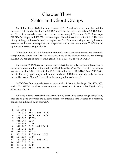### Chapter Three Scales and Chord Groups

 So of the three EDOs I would consider (17, 19 and 22), which are the best for melodies (not chords)? Looking at 22EDO first, there are three intervals in 22EDO that I won't use in a melody context (over a one octave range). These are: 54.55c (one step), 327.273c (six steps) and 872.727c (sixteen steps). These intervals are not within 8.474 cents of any of the good intervals listed in chapter one. So if I am composing a melody I have to avoid notes that are one step apart, six steps apart and sixteen steps apart. This limits my options when composing melodies.

 What about 17EDO? All the melodic intervals over a one octave range are acceptable except for the single step (70.588c). However, many of the stronger intervals are missing. 3/2 and 4/3 are good but there is no good 6/5, 5/4, 8/5, 5/3 or 9/5 in 17EDO.

 How does 19EDO fare? Very good. Like 17EDO there is only one sour interval over a one octave range and that is the single step (63.158c). Also 6/5, 5/4, 4/3, 3/2, 8/5, 5/3 and 9/5 are all within 8.474 cents of just in 19EDO. So of the three EDOs (17, 19 and 22) 19 wins in both harmony (good major and minor chords in 19EDO) and melody (only one sour interval between 1/1 and 2/1 and all of the strongest intervals occur).

 24EDO has four intervals (over an octave) that I deem to be illegal: 50c, 400c, 900c and 1150c. 31EDO has three intervals (over an octave) that I deem to be illegal: 38.71c, 77.42c and 1161.29c.

 Below is a list of intervals that occur in 19EDO over a five-octave range. Melodically they are all good except for the 63 cents single step. Intervals that are good in a harmony context are indicated by an asterisk \*.

| 1  | O       |                     |
|----|---------|---------------------|
| 2  | 63.1579 | NO                  |
| 3  | 126.316 | $15/14$ and $14/13$ |
| 4  | 189.474 | $10/9*$ and $19/17$ |
| 5  | 252.632 | 15/13               |
| 6  | 315.789 | $6/5*$              |
| 7  | 378.947 | $5/4*$              |
| 8  | 442.105 | $9/7*$ and 22/17    |
| 9  | 505,263 | $4/3*$              |
| 10 | 568.421 | 18/13               |
| 11 | 631.579 | 23/16 and 13/9      |
| 12 | 694.737 | $3/2*$              |
| 13 | 757.895 | $17/11$ and $14/9$  |
| 14 | 821.053 | $8/5*$              |
| 15 | 884.211 | $5/3*$              |
| 16 | 947.368 | 19/11 and 26/15     |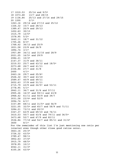17 1010.53 25/14 and 9/5\* 18 1073.68 13/7 and 28/15 19 1136.84 25/13 and 27/14 and 29/15 20 1200 2/1\* 1263.16 29/14 and 27/13 and 25/12 1326.32 15/7 and 28/13 1389.47 20/9 and 29/13 1452.63 30/13 1515.79 12/5\* 1578.95 5/2\* 1642.11 18/7 and 31/12 1705.26 8/3\* 1768.42 36/13 and 25/9 1831.58 23/8 and 26/9 1894.74 3/1\* 1957.89 34/11 and 31/10 and 28/9 2021.05 16/5\* and 29/9 2084.21 10/3\* 2147.37 31/9 and 38/11 2210.53 25/7 and 43/12 and 18/5\* 2273.68 26/7 and 41/11 2336.84 27/7 and 31/8  $2400 \t 4/1*$ 2463.16 29/7 and 25/6\* 2526.32 30/7 and 43/10 2589.47 40/9 and 49/11 2652.63 37/8 and 51/11 2715.79 43/9 and 24/5\* and 53/11 2778.95 5/1\* 2842.11 36/7 and 31/6 and 57/11 2905.26 16/3\* and 59/11 and 43/8 2968.42 61/11 and 50/9 and 39/7 3031.58 23/4\* and 52/9 3094.74 6/1\* 3157.89 68/11 and 31/5\* and 56/9 3221.05 32/5\* and 45/7 and 58/9 and 71/11 3284.21 73/11 and 20/3\* 3347.37 62/9 and 69/10 and 76/11 3410.53 50/7 and 43/6 and 79/11 and 36/5\* 3473.68 52/7 and 67/9 and 82/11 3536.84 77/10 and 54/7 and 85/11 and 31/4\* 3600 8/1\* For the remainder of this list I'm just mentioning one ratio per interval even though other close good ratios occur. 3663.16 25/3\* 3726.32 43/5\* 3789.47 98/11 3852.63 37/4\* 3915.79 48/5\* 3978.95 10/1\* 4042.11 31/3\* 4105.26 43/4\*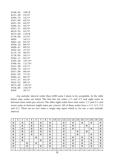| 4168.42 | 100/9    |
|---------|----------|
| 4231.58 | $23/2*$  |
| 4294.74 | $12/1*$  |
| 4357.89 | $62/5*$  |
| 4421.05 | $64/5*$  |
| 4484.21 | $40/3*$  |
| 4547.37 | $69/5*$  |
| 4610.53 | $43/3*$  |
| 4673.68 | 119/8    |
| 4736.84 | $31/2*$  |
| 4800    | 16/1*    |
| 4863.16 | $83/5*$  |
| 4926.32 | $86/5*$  |
| 4989.47 | $89/5*$  |
| 5052.63 | $37/2*$  |
| 5115.79 | $96/5*$  |
| 5178.95 | $20/1*$  |
| 5242.11 | $62/3*$  |
| 5305.26 | $107/5*$ |
| 5368.42 | $111/5*$ |
| 5431.58 | 23/1*    |
| 5494.74 | $24/1*$  |
| 5557.89 | 99/4*    |
| 5621.05 | $77/3*$  |
| 5684.21 | $80/3*$  |
| 5747.37 | 83/3*    |
| 5810.53 | $86/3*$  |
| 5873.68 | $119/4*$ |
| 5936.84 | $154/5*$ |
| 6000    | $32/1*$  |

 *Any* melodic interval wider than 6,000 cents I deem to be acceptable. In the table below nine scales are listed. The first has ten notes: 1/1 and 2/1 and eight notes in between (nine notes per octave). The other eight scales have nine notes: 1/1 and 2/1 and seven notes in between (eight notes per octave). All of these scales have a 1/1, 4/3, 3/2 and 2/1. There are no two notes a single step apart which is, for me, a sour melodic interval.

|     | າ<br>ı | 3     | 4    | 5     | 6   | ¬   | 8   | 9   |       |      |     | 13   | 4   | 15  | 16    | 7   | 18   | 19    | 20  |
|-----|--------|-------|------|-------|-----|-----|-----|-----|-------|------|-----|------|-----|-----|-------|-----|------|-------|-----|
| ©   |        | ☺     |      | ©     |     | ©   |     | ©   |       |      | ©   |      | ©   |     | ©     |     | ©    |       | ©   |
| ©   |        | ©     |      | ©     |     | ©   |     | ©   |       |      | ©   |      | ©   |     |       | ©   |      |       | ©   |
| ©   |        | ©     |      | ©     |     | ©   |     | ©   |       |      | ©   |      | ©   |     |       |     | ©    |       | ©   |
| ©   |        | ©     |      | O     |     | ©   |     | ©   |       |      | O   |      |     | ©   |       | ల   |      |       | ©   |
| ©   |        | ©     |      | O     |     | O   |     | ©   |       |      | ©   |      |     | ©   |       |     | ☺    |       | O   |
| ©   |        | ©     |      |       | ©   |     |     | ©   |       |      | O   |      | ©   |     | ©     |     | ©    |       | ©   |
| ©   |        | ©     |      |       |     | O   |     | ©   |       |      | O   |      | ©   |     | ©     |     | O    |       | O   |
| ©   |        |       | ©    |       | ©   |     |     | ©   |       |      | ◎   |      | ©   |     | ©     |     | O    |       | ©   |
| ©   |        |       | ©    |       |     | ©   |     | ©   |       |      | ©   |      | ☺   |     | ©     |     | ©    |       | ☺   |
| 1/1 | x      | 15/14 | 10/9 | 15/13 | 6/5 | 5/4 | 9/7 | 4/3 | 18/13 | 13/9 | 3/2 | 14/9 | 8/5 | 5/3 | 19/11 | 9/5 | 13/7 | 25/13 | 2/1 |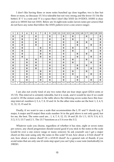I don't like having three or more notes bunched up close together, two is fine but three or more, no (because 15/14 is tolerable but not very strong and the fewer 15/14s the better). If '1' is a note and '0' is a space then I don't like 10101 (in 19 EDO). 101001 is okay and so is 100101 but not 10101. Below are 16 eight-note scales (seven notes per octave) that do not have any notes that follow the 10101 pattern (over a one octave range).

| $\mathbf{1}$ | 2 | 3     | 4    | 5     | 6   | 7   | 8   | 9   | 10    | 11   | 12  | 13   | 14  | 15  | 16    | 17  | 18   | 19    | 20  |
|--------------|---|-------|------|-------|-----|-----|-----|-----|-------|------|-----|------|-----|-----|-------|-----|------|-------|-----|
| ©            |   | ◎     |      |       | ©   |     |     | ©   |       |      | O   |      | ◎   |     |       | ల   |      |       | O   |
| ©            |   | ◎     |      |       | ©   |     |     | ©   |       |      | O   |      | ©   |     |       |     | O    |       | ©   |
| ©            |   | ◎     |      |       | ©   |     |     | ©   |       |      | ☺   |      |     | ©   |       | ©   |      |       | O   |
| ©            |   | ◎     |      |       | ©   |     |     | ©   |       |      | ☺   |      |     | ø   |       |     | ©    |       | ©   |
| ©            |   | ◎     |      |       |     | ©   |     | ©   |       |      | ☺   |      | ◎   |     |       | O   |      |       | ©   |
| ©            |   | ◎     |      |       |     | O   |     | ©   |       |      | ☺   |      | ◎   |     |       |     | O    |       | O   |
| ©            |   | ©     |      |       |     | O   |     | ©   |       |      | ø   |      |     | ø   |       | ø   |      |       | O   |
| ©            |   | ◎     |      |       |     | O   |     | ©   |       |      | ø   |      |     | ø   |       |     | ø    |       | O   |
| ©            |   |       | ø    |       | ©   |     |     | ø   |       |      | ø   |      | ©   |     |       | ø   |      |       | ©   |
| ©            |   |       | O    |       | ©   |     |     | ø   |       |      | ø   |      | ◎   |     |       |     | O    |       | ©   |
| ©            |   |       | O    |       | ©   |     |     | ©   |       |      | ø   |      |     | ø   |       | ø   |      |       | O   |
| ◎            |   |       | O    |       | ©   |     |     | ©   |       |      | O   |      |     | ©   |       |     | O    |       | O   |
| ©            |   |       | ø    |       |     | ø   |     | ©   |       |      | ©   |      | ◎   |     |       | ø   |      |       | ©   |
| O            |   |       | O    |       |     | O   |     | ©   |       |      | O   |      | ◎   |     |       |     | O    |       | O   |
| ©            |   |       | ø    |       |     | O   |     | ©   |       |      | ø   |      |     | ø   |       | O   |      |       | O   |
| ©            |   |       | ల    |       |     | O   |     | ©   |       |      | O   |      |     | ©   |       |     | O    |       | ø   |
| 1/1          | x | 15/14 | 10/9 | 15/13 | 6/5 | 5/4 | 9/7 | 4/3 | 18/13 | 13/9 | 3/2 | 14/9 | 8/5 | 5/3 | 19/11 | 9/5 | 13/7 | 25/13 | 2/1 |

 I am also not overly fond of any two notes that are four steps apart (252.6 cents or 15/13). This interval is certainly tolerable, but it is weak, and it would be nice if we could avoid it. Of the sixteen scales in the table above the following seven scales have this fourstep interval: numbers 2, 5, 6, 7, 8, 10 and 14. So the other nine scales are the best: 1, 3, 4, 9, 11, 12, 13, 15 and 16.

 Finally, if we want to use a scale that accommodates the I, IV and V chords (e.g. E major, A major and B major) then scale number 16 in the grid above is not only good, but for me, the best. The notes used are... 1, 4, 7, 9, 12, 15, 18 and 20. Or 1/1, 10/9, 5/4, 4/3, 3/2, 5/3, 13/7 and 2/1. The 13/7 functions as a 5/4 over the 3/2.

 Whatever scale you choose, regardless of whether it has nine, eight or seven notes per octave, any chord progression should sound good if you stick to the notes in the scale (could be over a one octave range or many octaves). So ask yourself: can I get a major chord on this note using only the notes in this scale? If not, how about a 2:3:4:6 chord? If not, how about a minor chord? Or a 4:5:8:10 chord? As a general rule of thumb, if you avoid notes that are only one 63 cents step apart you can't play a sour note (melodically) in 19EDO.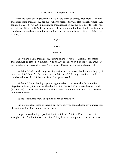#### Clearly rooted chord progressions

 Here are some chord groups that have a very clear, or strong, root chord). The ideal chords for these chord groups are major chords because they are also strongly rooted (they contain a 1, 2, 4, 8 or 16). A six-note major chord is 2:3:4:5:6:8. Four-note chords could work as well (e.g. 2:3:4:5 or 4:5:6:8). The idea is that the pitches of the lowest notes in the major chords used should correspond to any of the following proportions (within  $+/-8.474$  cents accuracy)...

> 3:4:5:6 4:5:6:8 5:6:8:10

So with the 3:4:5:6 chord group, starting on the lowest note (index 1), the major chords should be played on indices 1, 9, 15 and 20. The chord on 4 (in the 3:4:5:6 group) is the root chord (on index 9) because 4 is a power of 2 and therefore sounds resolved.

With the 4:5:6:8 chord group, starting on index 1, the major chords should be played on indices 1, 7, 12 and 20. The chords on 4 or 8 (in the 4:5:6:8 group) function as root chords (on indices 1 or 20) because 4 and 8 are powers of 2.

With the 5:6:8:10 chord group, starting on index 1, the major chords should be played on indices 1, 6, 14 and 20. The chord on 8 (in the 5:6:8:10 group) is the root chord (on index 14) because 8 is a power of 2. I have written about this power of 2 idea in some of my recent books.

So the root chords should be points of rest or resolution.

I'm starting all of these on index 1 but obviously you could choose any number you like and scale the other numbers up accordingly.

Proportions (chord groups) that don't contain a 1, 2, 4, 8 or 16 are, for me, not strongly rooted (or don't have a clear tonic), they have no clear point of rest or resolution.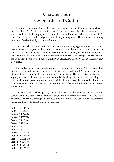#### Chapter Four Keyboards and Guitars

 I'm not sure about the best layout for piano style instruments or keyboards implementing 19EDO. I considered ten white keys and nine black keys per octave but some chords would be unplayable because the relevant keys would be too far apart. I'll leave it to the reader to investigate a suitable key arrangement. There are several tuning groups on Facebook and you could ask there.

 You could choose to use only the notes found in the nine, eight or seven-note scales I described earlier. If you go this route you could retune the relevant notes on a regular electric retunable keyboard. This way three, four or five notes (per octave) would not be used. Some calculations should reveal the available chords. The strongest chords to look for are major (2:3:4:5:6:8 or a subset), minor (10:15:20:24:30:40 or 10:12:15:20), 2:3:4:6:8 and 4:5:8:10:16.

 For guitarists here are specifications for fret placements on a 19EDO guitar. Fret number 1 is the fret closest to the nut. The 's' stands for 'scale length' which is usually the distance from the nut to the saddle on the lightest string. The saddle is usually angled slightly so that the distance from nut to saddle is slightly greater for the thicker strings. So if the scale length is 66cm (around 26 inches) the distance from the nut to the first fret is 66cm x 0.035824 = 2.36cm. The distance from the nut to the second fret is 66cm x 0.0703646  $= 4.64$ cm. And so on.

 You could buy a cheap guitar, rip out the frets, fill the slots with resin or wood cement, cut new slots according to the list below and hammer in new frets. I've done this a few times for various tunings and the resulting fretboards were usable but I recommend hiring a luthier to do the job if you can afford it.

Fret  $1 = 0.035824s$ Fret  $2 = 0.0703646s$ Fret  $3 = 0.103668s$ Fret  $4 = 0.135778s$ Fret  $5 = 0.166738s$ Fret  $6 = 0.196589s$ Fret  $7 = 0.22537s$ Fret  $8 = 0.253121s$ Fret  $9 = 0.279877s$ Fret  $10 = 0.305674s$ Fret  $11 = 0.330548s$ Fret  $12 = 0.35453s$ Fret  $13 = 0.377654s$ Fret  $14 = 0.399949s$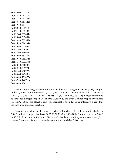Fret  $15 = 0.421445s$ Fret  $16 = 0.442171s$ Fret  $17 = 0.462155s$ Fret  $18 = 0.481422s$ Fret  $19 = 0.5s$ Fret  $20 = 0.517912s$ Fret  $21 = 0.535182s$ Fret  $22 = 0.551834s$ Fret  $23 = 0.567889s$ Fret  $24 = 0.583369s$ Fret  $25 = 0.598294s$ Fret  $26 = 0.612685s$ Fret  $27 = 0.62656s$ Fret  $28 = 0.639938s$ Fret  $29 = 0.652837s$ Fret  $30 = 0.665274s$ Fret  $31 = 0.677265s$ Fret  $32 = 0.688827s$ Fret  $33 = 0.699974s$ Fret  $34 = 0.710722s$ Fret  $35 = 0.721086s$ Fret  $36 = 0.731077s$ Fret  $37 = 0.740711s$ Fret  $38 = 0.75s$ 

 How should the guitar be tuned? For me the ideal tuning from lowest (bass) string to highest (treble) would be indices 1, 10, 18, 25, 31 and 39. This translates to 0c  $(1/1)$ , 568.4c (18/13), 1073.7c (13/7), 1515.8c (12/5), 1894.7c (3/1) and 2400.0c (4/1). I chose this tuning so that open E major shape barre chords (2:3:4:5:6:8) and open E minor shape barre chords (10:15:20:24:30:40) are playable and look identical to their 12TET counterparts except that the frets are a bit closer together.

 Again, depending on the scale you choose the chords to look for are 2:3:4:5:6:8 or 2:3:4:5 or 4:5:6:8 (major chords) or 10:15:20:24:30:40 or 10:15:20:24 (minor chords) or 2:3:4:6 or 4:5:8:10. I call these latter chords "two-tone" chords because they contain only two pitch classes. Some musicians won't use these two-tone chords but I like them.